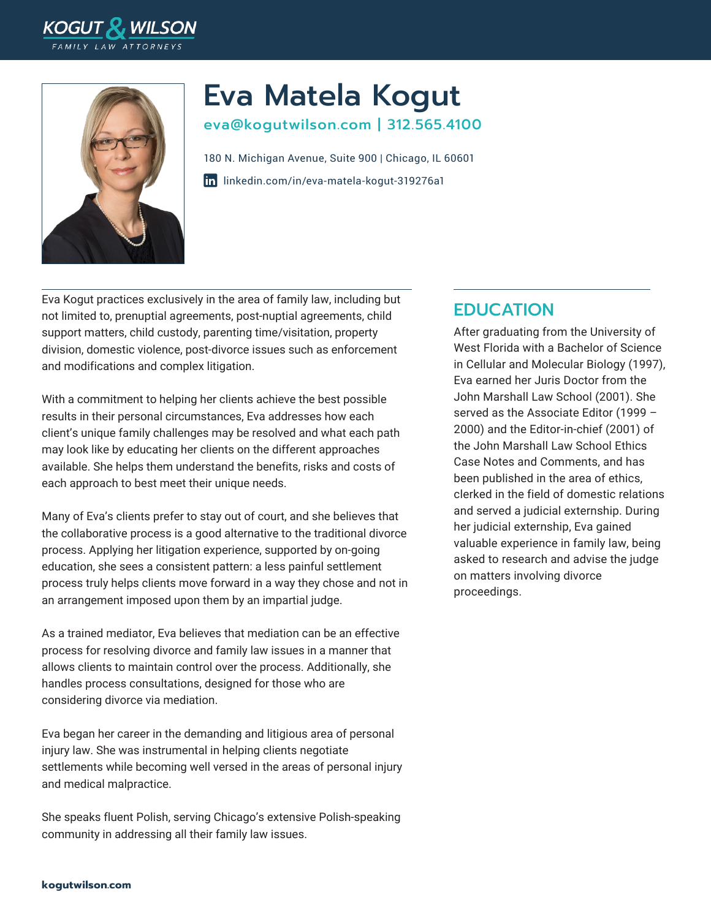



# Eva Matela Kogut

eva@kogutwilson.com | 312.565.4100

[linkedin.com/in/eva-matela-kogut-319276a1](https://www.linkedin.com/in/eva-matela-kogut-319276a1/) 180 N. Michigan Avenue, Suite 900 | Chicago, IL 60601

Eva Kogut practices exclusively in the area of family law, including but not limited to, prenuptial agreements, post-nuptial agreements, child support matters, child custody, parenting time/visitation, property division, domestic violence, post-divorce issues such as enforcement and modifications and complex litigation.

With a commitment to helping her clients achieve the best possible results in their personal circumstances, Eva addresses how each client's unique family challenges may be resolved and what each path may look like by educating her clients on the different approaches available. She helps them understand the benefits, risks and costs of each approach to best meet their unique needs.

Many of Eva's clients prefer to stay out of court, and she believes that the collaborative process is a good alternative to the traditional divorce process. Applying her litigation experience, supported by on-going education, she sees a consistent pattern: a less painful settlement process truly helps clients move forward in a way they chose and not in an arrangement imposed upon them by an impartial judge.

As a trained mediator, Eva believes that mediation can be an effective process for resolving divorce and family law issues in a manner that allows clients to maintain control over the process. Additionally, she handles process consultations, designed for those who are considering divorce via mediation.

Eva began her career in the demanding and litigious area of personal injury law. She was instrumental in helping clients negotiate settlements while becoming well versed in the areas of personal injury and medical malpractice.

She speaks fluent Polish, serving Chicago's extensive Polish-speaking community in addressing all their family law issues.

### EDUCATION

After graduating from the University of West Florida with a Bachelor of Science in Cellular and Molecular Biology (1997), Eva earned her Juris Doctor from the John Marshall Law School (2001). She served as the Associate Editor (1999 – 2000) and the Editor-in-chief (2001) of the John Marshall Law School Ethics Case Notes and Comments, and has been published in the area of ethics, clerked in the field of domestic relations and served a judicial externship. During her judicial externship, Eva gained valuable experience in family law, being asked to research and advise the judge on matters involving divorce proceedings.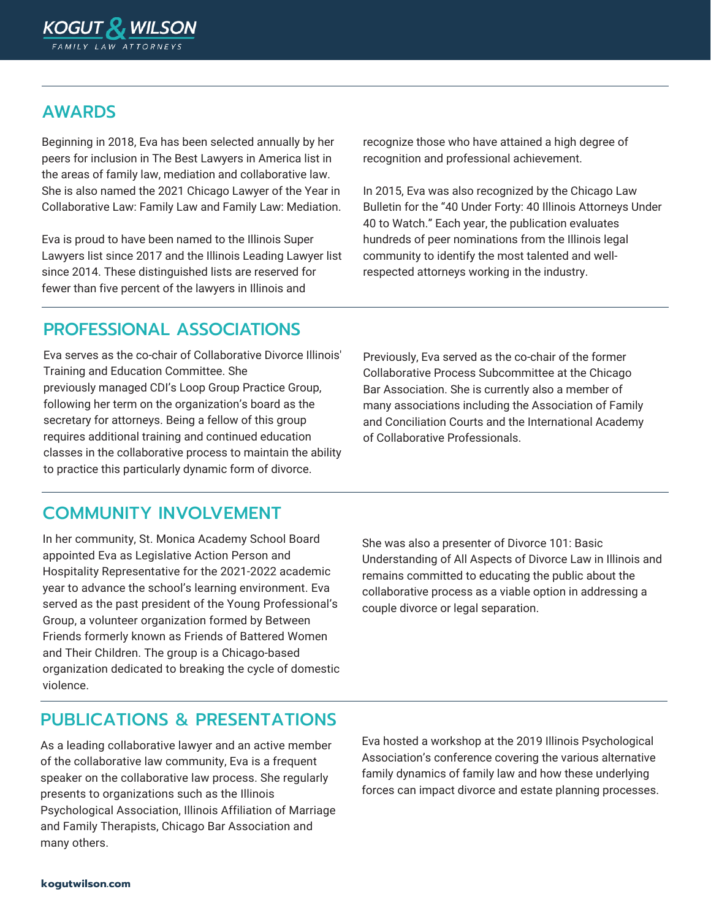

### AWARDS

Beginning in 2018, Eva has been selected annually by her peers for inclusion in The Best Lawyers in America list in the areas of family law, mediation and collaborative law. She is also named the 2021 Chicago Lawyer of the Year in Collaborative Law: Family Law and Family Law: Mediation.

Eva is proud to have been named to the Illinois Super Lawyers list since 2017 and the Illinois Leading Lawyer list since 2014. These distinguished lists are reserved for fewer than five percent of the lawyers in Illinois and

recognize those who have attained a high degree of recognition and professional achievement.

In 2015, Eva was also recognized by the Chicago Law Bulletin for the "40 Under Forty: 40 Illinois Attorneys Under 40 to Watch." Each year, the publication evaluates hundreds of peer nominations from the Illinois legal community to identify the most talented and wellrespected attorneys working in the industry.

### PROFESSIONAL ASSOCIATIONS

Eva serves as the co-chair of Collaborative Divorce Illinois' Training and Education Committee. She previously managed CDI's Loop Group Practice Group, following her term on the organization's board as the secretary for attorneys. Being a fellow of this group requires additional training and continued education classes in the collaborative process to maintain the ability to practice this particularly dynamic form of divorce.

Previously, Eva served as the co-chair of the former Collaborative Process Subcommittee at the Chicago Bar Association. She is currently also a member of many associations including the Association of Family and Conciliation Courts and the International Academy of Collaborative Professionals.

#### COMMUNITY INVOLVEMENT

In her community, St. Monica Academy School Board appointed Eva as Legislative Action Person and Hospitality Representative for the 2021-2022 academic year to advance the school's learning environment. Eva served as the past president of the Young Professional's Group, a volunteer organization formed by Between Friends formerly known as Friends of Battered Women and Their Children. The group is a Chicago-based organization dedicated to breaking the cycle of domestic violence.

She was also a presenter of Divorce 101: Basic Understanding of All Aspects of Divorce Law in Illinois and remains committed to educating the public about the collaborative process as a viable option in addressing a couple divorce or legal separation.

#### PUBLICATIONS & PRESENTATIONS

As a leading collaborative lawyer and an active member of the collaborative law community, Eva is a frequent speaker on the collaborative law process. She regularly presents to organizations such as the Illinois Psychological Association, Illinois Affiliation of Marriage and Family Therapists, Chicago Bar Association and many others.

Eva hosted a workshop at the 2019 Illinois Psychological Association's conference covering the various alternative family dynamics of family law and how these underlying forces can impact divorce and estate planning processes.